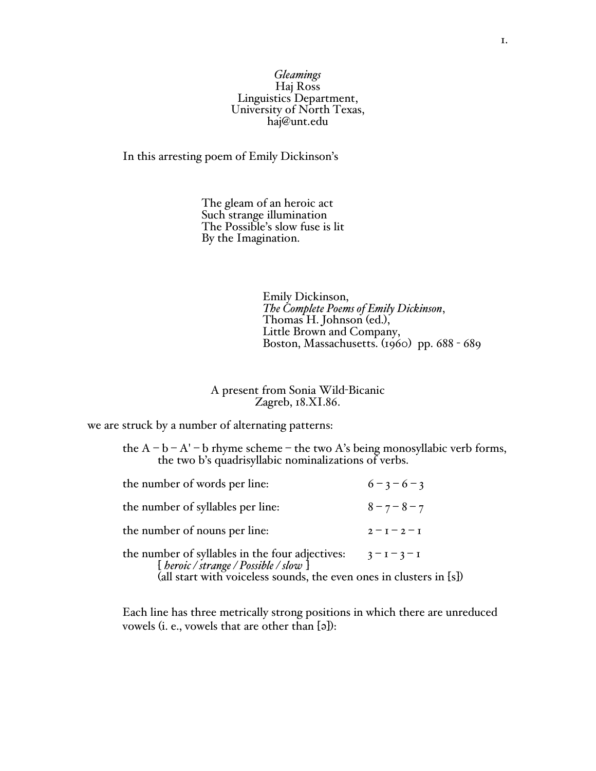## *Gleamings* Haj Ross<br>Linguistics Department, University of North Texas,<br>haj@unt.edu

In this arresting poem of Emily Dickinson's

The gleam of an heroic act Such strange illumination The Possible's slow fuse is lit By the Imagination.

Emily Dickinson,<br> *The Complete Poems of Emily Dickinson*,<br>
Thomas H. Johnson (ed.),<br>
Little Brown and Company,<br>
Boston, Massachusetts. (1960) pp. 688 - 689

A present from Sonia Wild-Bicanic Zagreb, 18.XI.86.

we are struck by a number of alternating patterns:

| the $A - b - A' - b$ rhyme scheme – the two A's being monosyllabic verb forms, |  |
|--------------------------------------------------------------------------------|--|
| the two b's quadrisvilabic nominalizations of verbs.                           |  |

| the number of words per line:                                                                                                                                                     | $6 - 3 - 6 - 3$ |
|-----------------------------------------------------------------------------------------------------------------------------------------------------------------------------------|-----------------|
| the number of syllables per line:                                                                                                                                                 | $8 - 7 - 8 - 7$ |
| the number of nouns per line:                                                                                                                                                     | $2 - I - 2 - I$ |
| the number of syllables in the four adjectives: $3 - 1 - 3 - 1$<br>[ <i>beroic/strange/Possible/slow</i> ]<br>(all start with voiceless sounds, the even ones in clusters in [s]) |                 |
|                                                                                                                                                                                   |                 |

Each line has three metrically strong positions in which there are unreduced vowels (i. e., vowels that are other than [a]):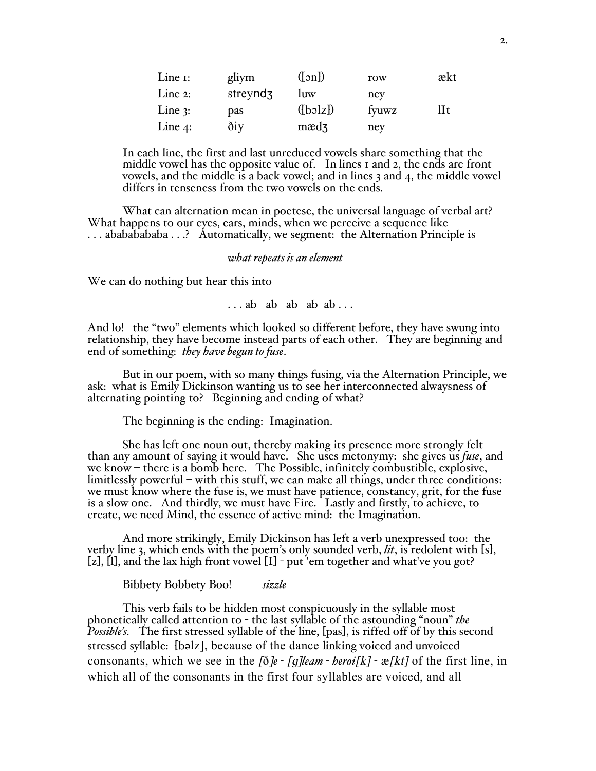| Line $I$ : | gliym                | $(\lceil \circ n \rceil)$ | row   | ækt |
|------------|----------------------|---------------------------|-------|-----|
| Line $2$ : | streynd <sub>3</sub> | luw                       | ney   |     |
| Line $3$ : | pas                  | ([bəlz])                  | fyuwz | lIt |
| Line $4$ : | diy                  | $\text{m}$ and $\text{m}$ | ney   |     |

In each line, the first and last unreduced vowels share something that the middle vowel has the opposite value of. In lines 1 and 2, the ends are front vowels, and the middle is a back vowel; and in lines 3 and 4, the middle vowel differs in tenseness from the two vowels on the ends.

What can alternation mean in poetese, the universal language of verbal art? What happens to our eyes, ears, minds, when we perceive a sequence like . . . abababababa . . .? Automatically, we segment: the Alternation Principle is

## *what repeats is an element*

We can do nothing but hear this into

. . . ab ab ab ab ab . . .

And lo! the "two" elements which looked so different before, they have swung into relationship, they have become instead parts of each other. They are beginning and end of something: *they have begun to fuse*.

But in our poem, with so many things fusing, via the Alternation Principle, we ask: what is Emily Dickinson wanting us to see her interconnected alwaysness of alternating pointing to? Beginning and ending of what?

The beginning is the ending: Imagination.

She has left one noun out, thereby making its presence more strongly felt than any amount of saying it would have. She uses metonymy: she gives us *fuse*, and we know – there is a bomb here. The Possible, infinitely combustible, explosive, limitlessly powerful – with this stuff, we can make all things, under three conditions: we must know where the fuse is, we must have patience, constancy, grit, for the fuse is a slow one. And thirdly, we must have Fire. Lastly and firstly, to achieve, to create, we need Mind, the essence of active mind: the Imagination.

And more strikingly, Emily Dickinson has left a verb unexpressed too: the verby line 3, which ends with the poem's only sounded verb, *lit*, is redolent with [s], [z], [l], and the lax high front vowel [I] - put 'em together and what've you got?

Bibbety Bobbety Boo! *sizzle*

This verb fails to be hidden most conspicuously in the syllable most phonetically called attention to - the last syllable of the astounding "noun" *the Possible's.* The first stressed syllable of the line, [pas], is riffed off of by this second stressed syllable: [bəlz], because of the dance linking voiced and unvoiced consonants, which we see in the  $\delta e$  *- [g]leam - beroi*[k] -  $\mathcal{R}[kt]$  of the first line, in which all of the consonants in the first four syllables are voiced, and all